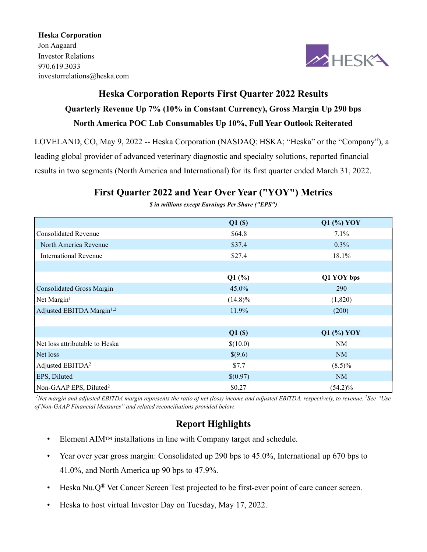Heska Corporation Jon Aagaard Investor Relations 970.619.3033 investorrelations@heska.com



# Heska Corporation Reports First Quarter 2022 Results Quarterly Revenue Up 7% (10% in Constant Currency), Gross Margin Up 290 bps North America POC Lab Consumables Up 10%, Full Year Outlook Reiterated

LOVELAND, CO, May 9, 2022 -- Heska Corporation (NASDAQ: HSKA; "Heska" or the "Company"), a leading global provider of advanced veterinary diagnostic and specialty solutions, reported financial results in two segments (North America and International) for its first quarter ended March 31, 2022.

## First Quarter 2022 and Year Over Year ("YOY") Metrics

|                                       | Q1(S)      | $Q1$ (%) YOY |
|---------------------------------------|------------|--------------|
| <b>Consolidated Revenue</b>           | \$64.8     | 7.1%         |
| North America Revenue                 | \$37.4     | $0.3\%$      |
| International Revenue                 | \$27.4     | 18.1%        |
|                                       |            |              |
|                                       | $Q1$ (%)   | Q1 YOY bps   |
| <b>Consolidated Gross Margin</b>      | 45.0%      | 290          |
| Net Margin <sup>1</sup>               | $(14.8)\%$ | (1,820)      |
| Adjusted EBITDA Margin <sup>1,2</sup> | 11.9%      | (200)        |
|                                       |            |              |
|                                       | Q1(S)      | $Q1$ (%) YOY |
| Net loss attributable to Heska        | \$(10.0)   | NM           |
| Net loss                              | \$(9.6)    | <b>NM</b>    |
| Adjusted EBITDA <sup>2</sup>          | \$7.7      | $(8.5)\%$    |
| EPS, Diluted                          | \$(0.97)   | <b>NM</b>    |
| Non-GAAP EPS, Diluted <sup>2</sup>    | \$0.27     | $(54.2)\%$   |

\$ in millions except Earnings Per Share ("EPS")

<sup>1</sup>Net margin and adjusted EBITDA margin represents the ratio of net (loss) income and adjusted EBITDA, respectively, to revenue. <sup>2</sup>See "Use of Non-GAAP Financial Measures" and related reconciliations provided below.

## Report Highlights

- $\bullet$  Element AIM<sup>TM</sup> installations in line with Company target and schedule.
- Year over year gross margin: Consolidated up 290 bps to 45.0%, International up 670 bps to 41.0%, and North America up 90 bps to 47.9%.
- Heska Nu. $Q^{\circledR}$  Vet Cancer Screen Test projected to be first-ever point of care cancer screen.
- Heska to host virtual Investor Day on Tuesday, May 17, 2022.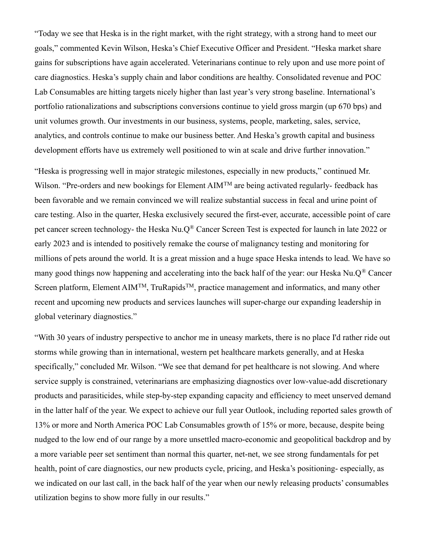"Today we see that Heska is in the right market, with the right strategy, with a strong hand to meet our goals," commented Kevin Wilson, Heska's Chief Executive Officer and President. "Heska market share gains for subscriptions have again accelerated. Veterinarians continue to rely upon and use more point of care diagnostics. Heska's supply chain and labor conditions are healthy. Consolidated revenue and POC Lab Consumables are hitting targets nicely higher than last year's very strong baseline. International's portfolio rationalizations and subscriptions conversions continue to yield gross margin (up 670 bps) and unit volumes growth. Our investments in our business, systems, people, marketing, sales, service, analytics, and controls continue to make our business better. And Heska's growth capital and business development efforts have us extremely well positioned to win at scale and drive further innovation."

"Heska is progressing well in major strategic milestones, especially in new products," continued Mr. Wilson. "Pre-orders and new bookings for Element AIM<sup>TM</sup> are being activated regularly- feedback has been favorable and we remain convinced we will realize substantial success in fecal and urine point of care testing. Also in the quarter, Heska exclusively secured the first-ever, accurate, accessible point of care pet cancer screen technology- the Heska Nu.Q® Cancer Screen Test is expected for launch in late 2022 or early 2023 and is intended to positively remake the course of malignancy testing and monitoring for millions of pets around the world. It is a great mission and a huge space Heska intends to lead. We have so many good things now happening and accelerating into the back half of the year: our Heska Nu.Q® Cancer Screen platform, Element AIM<sup>TM</sup>, TruRapids<sup>TM</sup>, practice management and informatics, and many other recent and upcoming new products and services launches will super-charge our expanding leadership in global veterinary diagnostics."

"With 30 years of industry perspective to anchor me in uneasy markets, there is no place I'd rather ride out storms while growing than in international, western pet healthcare markets generally, and at Heska specifically," concluded Mr. Wilson. "We see that demand for pet healthcare is not slowing. And where service supply is constrained, veterinarians are emphasizing diagnostics over low-value-add discretionary products and parasiticides, while step-by-step expanding capacity and efficiency to meet unserved demand in the latter half of the year. We expect to achieve our full year Outlook, including reported sales growth of 13% or more and North America POC Lab Consumables growth of 15% or more, because, despite being nudged to the low end of our range by a more unsettled macro-economic and geopolitical backdrop and by a more variable peer set sentiment than normal this quarter, net-net, we see strong fundamentals for pet health, point of care diagnostics, our new products cycle, pricing, and Heska's positioning- especially, as we indicated on our last call, in the back half of the year when our newly releasing products' consumables utilization begins to show more fully in our results."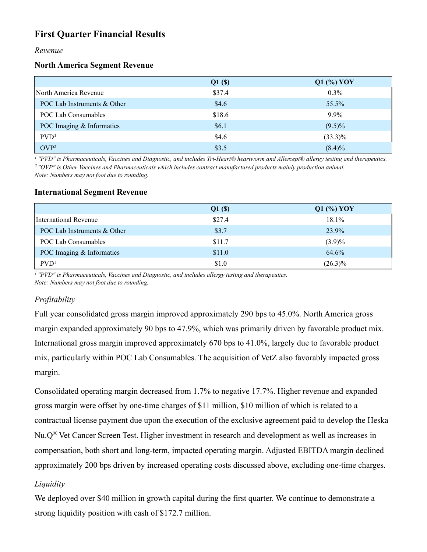## First Quarter Financial Results

#### Revenue

#### North America Segment Revenue

|                             | Q1(S)  | Q1 (%) YOY |
|-----------------------------|--------|------------|
| North America Revenue       | \$37.4 | $0.3\%$    |
| POC Lab Instruments & Other | \$4.6  | 55.5%      |
| POC Lab Consumables         | \$18.6 | $9.9\%$    |
| POC Imaging & Informatics   | \$6.1  | $(9.5)\%$  |
| PVD <sup>1</sup>            | \$4.6  | $(33.3)\%$ |
| OVP <sup>2</sup>            | \$3.5  | $(8.4)\%$  |

<sup>1</sup> "PVD" is Pharmaceuticals, Vaccines and Diagnostic, and includes Tri-Heart® heartworm and Allercept® allergy testing and therapeutics. <sup>2</sup> "OVP" is Other Vaccines and Pharmaceuticals which includes contract manufactured products mainly production animal. Note: Numbers may not foot due to rounding.

#### International Segment Revenue

|                             | Q1(S)  | $Q1$ (%) YOY |
|-----------------------------|--------|--------------|
| International Revenue       | \$27.4 | 18.1%        |
| POC Lab Instruments & Other | \$3.7  | 23.9%        |
| POC Lab Consumables         | \$11.7 | $(3.9)\%$    |
| POC Imaging & Informatics   | \$11.0 | 64.6%        |
| PVD <sup>1</sup>            | \$1.0  | $(26.3)\%$   |

 $1$  "PVD" is Pharmaceuticals, Vaccines and Diagnostic, and includes allergy testing and therapeutics. Note: Numbers may not foot due to rounding.

## Profitability

Full year consolidated gross margin improved approximately 290 bps to 45.0%. North America gross margin expanded approximately 90 bps to 47.9%, which was primarily driven by favorable product mix. International gross margin improved approximately 670 bps to 41.0%, largely due to favorable product mix, particularly within POC Lab Consumables. The acquisition of VetZ also favorably impacted gross margin.

Consolidated operating margin decreased from 1.7% to negative 17.7%. Higher revenue and expanded gross margin were offset by one-time charges of \$11 million, \$10 million of which is related to a contractual license payment due upon the execution of the exclusive agreement paid to develop the Heska Nu.Q® Vet Cancer Screen Test. Higher investment in research and development as well as increases in compensation, both short and long-term, impacted operating margin. Adjusted EBITDA margin declined approximately 200 bps driven by increased operating costs discussed above, excluding one-time charges.

## Liquidity

We deployed over \$40 million in growth capital during the first quarter. We continue to demonstrate a strong liquidity position with cash of \$172.7 million.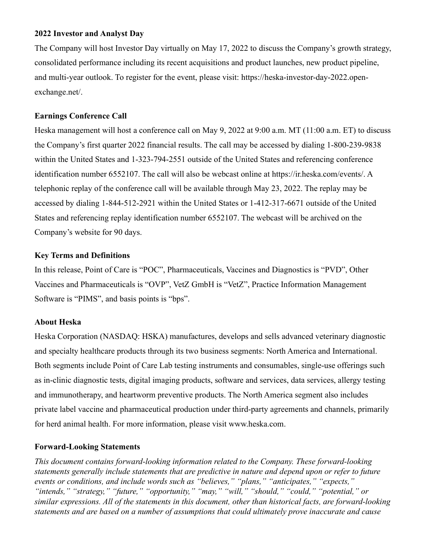#### 2022 Investor and Analyst Day

The Company will host Investor Day virtually on May 17, 2022 to discuss the Company's growth strategy, consolidated performance including its recent acquisitions and product launches, new product pipeline, and multi-year outlook. To register for the event, please visit: https://heska-investor-day-2022.openexchange.net/.

#### Earnings Conference Call

Heska management will host a conference call on May 9, 2022 at 9:00 a.m. MT (11:00 a.m. ET) to discuss the Company's first quarter 2022 financial results. The call may be accessed by dialing 1-800-239-9838 within the United States and 1-323-794-2551 outside of the United States and referencing conference identification number 6552107. The call will also be webcast online at https://ir.heska.com/events/. A telephonic replay of the conference call will be available through May 23, 2022. The replay may be accessed by dialing 1-844-512-2921 within the United States or 1-412-317-6671 outside of the United States and referencing replay identification number 6552107. The webcast will be archived on the Company's website for 90 days.

#### Key Terms and Definitions

In this release, Point of Care is "POC", Pharmaceuticals, Vaccines and Diagnostics is "PVD", Other Vaccines and Pharmaceuticals is "OVP", VetZ GmbH is "VetZ", Practice Information Management Software is "PIMS", and basis points is "bps".

#### About Heska

Heska Corporation (NASDAQ: HSKA) manufactures, develops and sells advanced veterinary diagnostic and specialty healthcare products through its two business segments: North America and International. Both segments include Point of Care Lab testing instruments and consumables, single-use offerings such as in-clinic diagnostic tests, digital imaging products, software and services, data services, allergy testing and immunotherapy, and heartworm preventive products. The North America segment also includes private label vaccine and pharmaceutical production under third-party agreements and channels, primarily for herd animal health. For more information, please visit www.heska.com.

#### Forward-Looking Statements

This document contains forward-looking information related to the Company. These forward-looking statements generally include statements that are predictive in nature and depend upon or refer to future events or conditions, and include words such as "believes," "plans," "anticipates," "expects," "intends," "strategy," "future," "opportunity," "may," "will," "should," "could," "potential," or similar expressions. All of the statements in this document, other than historical facts, are forward-looking statements and are based on a number of assumptions that could ultimately prove inaccurate and cause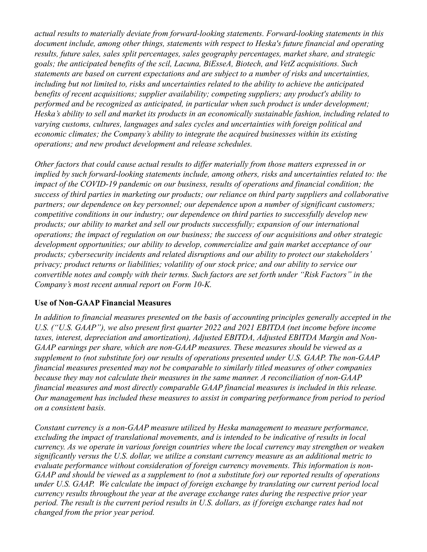actual results to materially deviate from forward-looking statements. Forward-looking statements in this document include, among other things, statements with respect to Heska's future financial and operating results, future sales, sales split percentages, sales geography percentages, market share, and strategic goals; the anticipated benefits of the scil, Lacuna, BiEsseA, Biotech, and VetZ acquisitions. Such statements are based on current expectations and are subject to a number of risks and uncertainties, including but not limited to, risks and uncertainties related to the ability to achieve the anticipated benefits of recent acquisitions; supplier availability; competing suppliers; any product's ability to performed and be recognized as anticipated, in particular when such product is under development; Heska's ability to sell and market its products in an economically sustainable fashion, including related to varying customs, cultures, languages and sales cycles and uncertainties with foreign political and economic climates; the Company's ability to integrate the acquired businesses within its existing operations; and new product development and release schedules.

Other factors that could cause actual results to differ materially from those matters expressed in or implied by such forward-looking statements include, among others, risks and uncertainties related to: the impact of the COVID-19 pandemic on our business, results of operations and financial condition; the success of third parties in marketing our products; our reliance on third party suppliers and collaborative partners; our dependence on key personnel; our dependence upon a number of significant customers; competitive conditions in our industry; our dependence on third parties to successfully develop new products; our ability to market and sell our products successfully; expansion of our international operations; the impact of regulation on our business; the success of our acquisitions and other strategic development opportunities; our ability to develop, commercialize and gain market acceptance of our products; cybersecurity incidents and related disruptions and our ability to protect our stakeholders' privacy; product returns or liabilities; volatility of our stock price; and our ability to service our convertible notes and comply with their terms. Such factors are set forth under "Risk Factors" in the Company's most recent annual report on Form 10-K.

## Use of Non-GAAP Financial Measures

In addition to financial measures presented on the basis of accounting principles generally accepted in the U.S. ("U.S. GAAP"), we also present first quarter 2022 and 2021 EBITDA (net income before income taxes, interest, depreciation and amortization), Adjusted EBITDA, Adjusted EBITDA Margin and Non-GAAP earnings per share, which are non-GAAP measures. These measures should be viewed as a supplement to (not substitute for) our results of operations presented under U.S. GAAP. The non-GAAP financial measures presented may not be comparable to similarly titled measures of other companies because they may not calculate their measures in the same manner. A reconciliation of non-GAAP financial measures and most directly comparable GAAP financial measures is included in this release. Our management has included these measures to assist in comparing performance from period to period on a consistent basis.

Constant currency is a non-GAAP measure utilized by Heska management to measure performance, excluding the impact of translational movements, and is intended to be indicative of results in local currency. As we operate in various foreign countries where the local currency may strengthen or weaken significantly versus the U.S. dollar, we utilize a constant currency measure as an additional metric to evaluate performance without consideration of foreign currency movements. This information is non-GAAP and should be viewed as a supplement to (not a substitute for) our reported results of operations under U.S. GAAP. We calculate the impact of foreign exchange by translating our current period local currency results throughout the year at the average exchange rates during the respective prior year period. The result is the current period results in U.S. dollars, as if foreign exchange rates had not changed from the prior year period.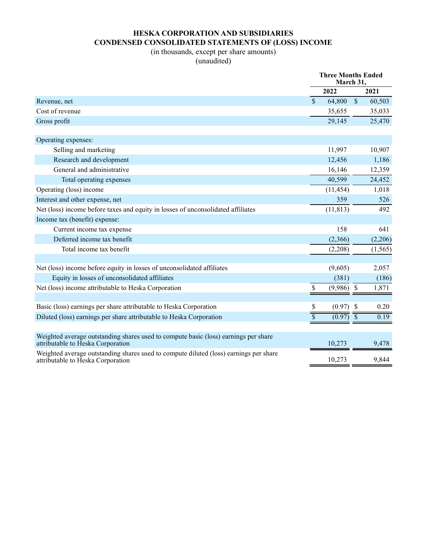## HESKA CORPORATION AND SUBSIDIARIES CONDENSED CONSOLIDATED STATEMENTS OF (LOSS) INCOME

### (in thousands, except per share amounts) (unaudited)

|                                                                                                                            | <b>Three Months Ended</b><br>March 31, |           |                           |          |
|----------------------------------------------------------------------------------------------------------------------------|----------------------------------------|-----------|---------------------------|----------|
|                                                                                                                            |                                        | 2022      |                           | 2021     |
| Revenue, net                                                                                                               | $\mathbb{S}$                           | 64,800    | $\sqrt{\ }$               | 60,503   |
| Cost of revenue                                                                                                            |                                        | 35,655    |                           | 35,033   |
| Gross profit                                                                                                               |                                        | 29,145    |                           | 25,470   |
|                                                                                                                            |                                        |           |                           |          |
| Operating expenses:                                                                                                        |                                        |           |                           |          |
| Selling and marketing                                                                                                      |                                        | 11,997    |                           | 10,907   |
| Research and development                                                                                                   |                                        | 12,456    |                           | 1,186    |
| General and administrative                                                                                                 |                                        | 16,146    |                           | 12,359   |
| Total operating expenses                                                                                                   |                                        | 40,599    |                           | 24,452   |
| Operating (loss) income                                                                                                    |                                        | (11, 454) |                           | 1,018    |
| Interest and other expense, net                                                                                            |                                        | 359       |                           | 526      |
| Net (loss) income before taxes and equity in losses of unconsolidated affiliates                                           |                                        | (11, 813) |                           | 492      |
| Income tax (benefit) expense:                                                                                              |                                        |           |                           |          |
| Current income tax expense                                                                                                 |                                        | 158       |                           | 641      |
| Deferred income tax benefit                                                                                                |                                        | (2,366)   |                           | (2,206)  |
| Total income tax benefit                                                                                                   |                                        | (2,208)   |                           | (1, 565) |
|                                                                                                                            |                                        |           |                           |          |
| Net (loss) income before equity in losses of unconsolidated affiliates                                                     |                                        | (9,605)   |                           | 2,057    |
| Equity in losses of unconsolidated affiliates                                                                              |                                        | (381)     |                           | (186)    |
| Net (loss) income attributable to Heska Corporation                                                                        | \$                                     | (9,986)   | $\boldsymbol{\mathsf{S}}$ | 1,871    |
|                                                                                                                            |                                        |           |                           |          |
| Basic (loss) earnings per share attributable to Heska Corporation                                                          | \$                                     | (0.97)    | $\mathbb{S}$              | 0.20     |
| Diluted (loss) earnings per share attributable to Heska Corporation                                                        | $\boldsymbol{\mathsf{S}}$              | (0.97)    | $\overline{\mathcal{S}}$  | 0.19     |
|                                                                                                                            |                                        |           |                           |          |
| Weighted average outstanding shares used to compute basic (loss) earnings per share<br>attributable to Heska Corporation   |                                        | 10.273    |                           | 9.478    |
| Weighted average outstanding shares used to compute diluted (loss) earnings per share<br>attributable to Heska Corporation |                                        | 10,273    |                           | 9,844    |
|                                                                                                                            |                                        |           |                           |          |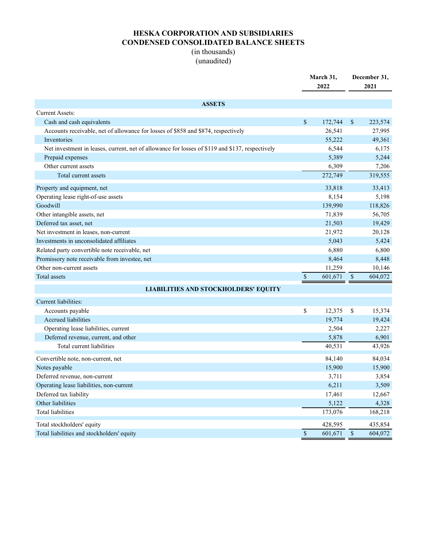## HESKA CORPORATION AND SUBSIDIARIES CONDENSED CONSOLIDATED BALANCE SHEETS

### (in thousands) (unaudited)

|                                                                                                 | March 31,<br>2022 |         | December 31,<br>2021      |         |
|-------------------------------------------------------------------------------------------------|-------------------|---------|---------------------------|---------|
| <b>ASSETS</b>                                                                                   |                   |         |                           |         |
| <b>Current Assets:</b>                                                                          |                   |         |                           |         |
| Cash and cash equivalents                                                                       | $\mathcal{S}$     | 172,744 | \$                        | 223,574 |
| Accounts receivable, net of allowance for losses of \$858 and \$874, respectively               |                   | 26,541  |                           | 27,995  |
| Inventories                                                                                     |                   | 55,222  |                           | 49,361  |
| Net investment in leases, current, net of allowance for losses of \$119 and \$137, respectively |                   | 6,544   |                           | 6,175   |
| Prepaid expenses                                                                                |                   | 5,389   |                           | 5,244   |
| Other current assets                                                                            |                   | 6,309   |                           | 7,206   |
| Total current assets                                                                            |                   | 272,749 |                           | 319,555 |
| Property and equipment, net                                                                     |                   | 33,818  |                           | 33,413  |
| Operating lease right-of-use assets                                                             |                   | 8,154   |                           | 5,198   |
| Goodwill                                                                                        |                   | 139,990 |                           | 118,826 |
| Other intangible assets, net                                                                    |                   | 71,839  |                           | 56,705  |
| Deferred tax asset, net                                                                         |                   | 21,503  |                           | 19,429  |
| Net investment in leases, non-current                                                           |                   | 21,972  |                           | 20,128  |
| Investments in unconsolidated affiliates                                                        |                   | 5,043   |                           | 5,424   |
| Related party convertible note receivable, net                                                  |                   | 6,880   |                           | 6,800   |
| Promissory note receivable from investee, net                                                   |                   | 8,464   |                           | 8,448   |
| Other non-current assets                                                                        |                   | 11,259  |                           | 10,146  |
| Total assets                                                                                    | $\mathbb{S}$      | 601,671 | $\boldsymbol{\mathsf{S}}$ | 604,072 |
| <b>LIABILITIES AND STOCKHOLDERS' EQUITY</b>                                                     |                   |         |                           |         |
| Current liabilities:                                                                            |                   |         |                           |         |
| Accounts payable                                                                                | \$                | 12,375  | \$                        | 15,374  |
| <b>Accrued</b> liabilities                                                                      |                   | 19,774  |                           | 19,424  |
| Operating lease liabilities, current                                                            |                   | 2,504   |                           | 2,227   |
| Deferred revenue, current, and other                                                            |                   | 5,878   |                           | 6,901   |
| Total current liabilities                                                                       |                   | 40,531  |                           | 43,926  |
| Convertible note, non-current, net                                                              |                   | 84,140  |                           | 84,034  |
| Notes payable                                                                                   |                   | 15,900  |                           | 15,900  |
| Deferred revenue, non-current                                                                   |                   | 3,711   |                           | 3,854   |
| Operating lease liabilities, non-current                                                        |                   | 6,211   |                           | 3,509   |
| Deferred tax liability                                                                          |                   | 17,461  |                           | 12,667  |
| Other liabilities                                                                               |                   | 5,122   |                           | 4,328   |
| <b>Total liabilities</b>                                                                        |                   | 173,076 |                           | 168,218 |
| Total stockholders' equity                                                                      |                   | 428,595 |                           | 435,854 |
| Total liabilities and stockholders' equity                                                      | $\sqrt{\ }$       | 601,671 | $\mathbb{S}$              | 604,072 |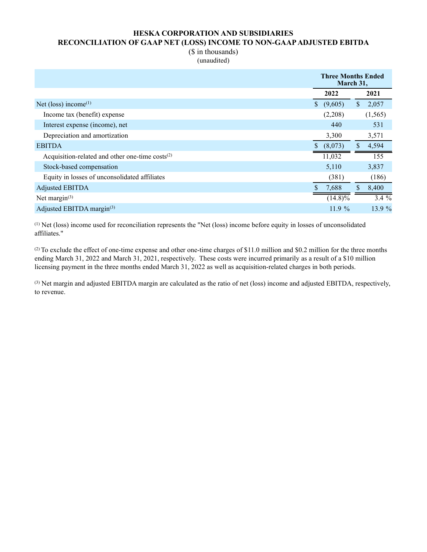#### HESKA CORPORATION AND SUBSIDIARIES RECONCILIATION OF GAAP NET (LOSS) INCOME TO NON-GAAP ADJUSTED EBITDA

#### (\$ in thousands) (unaudited)

|                                                      | <b>Three Months Ended</b><br>March 31, |            |    |          |
|------------------------------------------------------|----------------------------------------|------------|----|----------|
|                                                      |                                        | 2022       |    | 2021     |
| Net (loss) income <sup>(1)</sup>                     | $\mathbb{S}$                           | (9,605)    | \$ | 2,057    |
| Income tax (benefit) expense                         |                                        | (2,208)    |    | (1, 565) |
| Interest expense (income), net                       |                                        | 440        |    | 531      |
| Depreciation and amortization                        |                                        | 3,300      |    | 3,571    |
| <b>EBITDA</b>                                        |                                        | (8,073)    |    | 4,594    |
| Acquisition-related and other one-time $costs^{(2)}$ |                                        | 11,032     |    | 155      |
| Stock-based compensation                             |                                        | 5,110      |    | 3,837    |
| Equity in losses of unconsolidated affiliates        |                                        | (381)      |    | (186)    |
| Adjusted EBITDA                                      |                                        | 7,688      | \$ | 8,400    |
| Net margin $(3)$                                     |                                        | $(14.8)\%$ |    | $3.4\%$  |
| Adjusted EBITDA margin(3)                            |                                        | 11.9%      |    | 13.9 %   |

(1) Net (loss) income used for reconciliation represents the "Net (loss) income before equity in losses of unconsolidated affiliates."

(2) To exclude the effect of one-time expense and other one-time charges of \$11.0 million and \$0.2 million for the three months ending March 31, 2022 and March 31, 2021, respectively. These costs were incurred primarily as a result of a \$10 million licensing payment in the three months ended March 31, 2022 as well as acquisition-related charges in both periods.

(3) Net margin and adjusted EBITDA margin are calculated as the ratio of net (loss) income and adjusted EBITDA, respectively, to revenue.